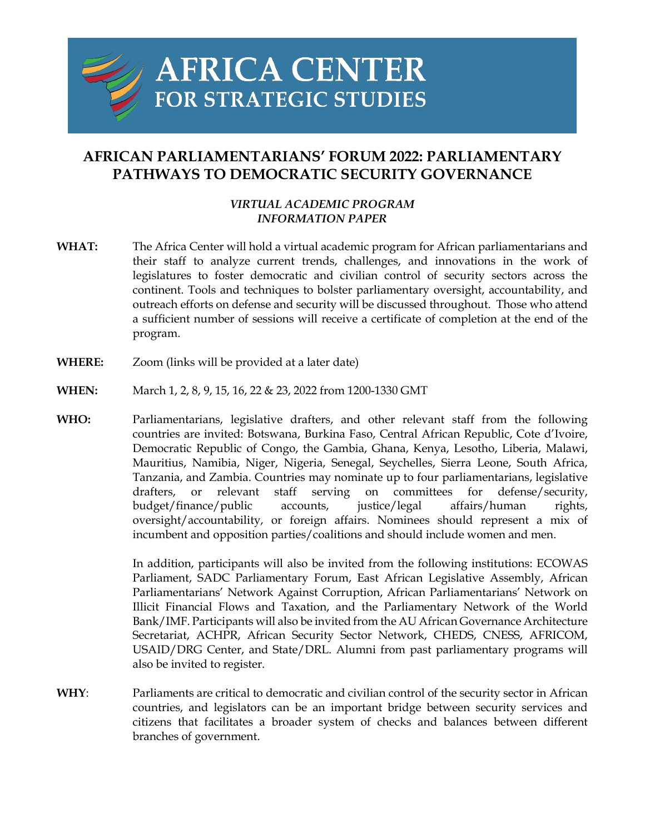

## **AFRICAN PARLIAMENTARIANS' FORUM 2022: PARLIAMENTARY PATHWAYS TO DEMOCRATIC SECURITY GOVERNANCE**

## *VIRTUAL ACADEMIC PROGRAM INFORMATION PAPER*

- **WHAT:** The Africa Center will hold a virtual academic program for African parliamentarians and their staff to analyze current trends, challenges, and innovations in the work of legislatures to foster democratic and civilian control of security sectors across the continent. Tools and techniques to bolster parliamentary oversight, accountability, and outreach efforts on defense and security will be discussed throughout. Those who attend a sufficient number of sessions will receive a certificate of completion at the end of the program.
- **WHERE:** Zoom (links will be provided at a later date)
- **WHEN:** March 1, 2, 8, 9, 15, 16, 22 & 23, 2022 from 1200-1330 GMT
- **WHO:** Parliamentarians, legislative drafters, and other relevant staff from the following countries are invited: Botswana, Burkina Faso, Central African Republic, Cote d'Ivoire, Democratic Republic of Congo, the Gambia, Ghana, Kenya, Lesotho, Liberia, Malawi, Mauritius, Namibia, Niger, Nigeria, Senegal, Seychelles, Sierra Leone, South Africa, Tanzania, and Zambia. Countries may nominate up to four parliamentarians, legislative drafters, or relevant staff serving on committees for defense/security, budget/finance/public accounts, justice/legal affairs/human rights, oversight/accountability, or foreign affairs. Nominees should represent a mix of incumbent and opposition parties/coalitions and should include women and men.

In addition, participants will also be invited from the following institutions: ECOWAS Parliament, SADC Parliamentary Forum, East African Legislative Assembly, African Parliamentarians' Network Against Corruption, African Parliamentarians' Network on Illicit Financial Flows and Taxation, and the Parliamentary Network of the World Bank/IMF. Participants will also be invited from the AU African Governance Architecture Secretariat, ACHPR, African Security Sector Network, CHEDS, CNESS, AFRICOM, USAID/DRG Center, and State/DRL. Alumni from past parliamentary programs will also be invited to register.

**WHY**: Parliaments are critical to democratic and civilian control of the security sector in African countries, and legislators can be an important bridge between security services and citizens that facilitates a broader system of checks and balances between different branches of government.